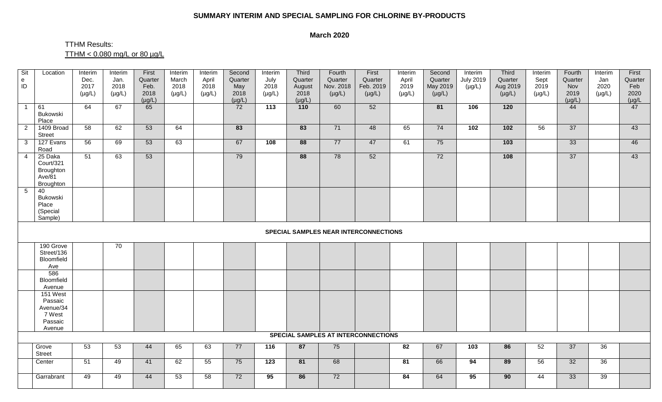## **SUMMARY INTERIM AND SPECIAL SAMPLING FOR CHLORINE BY-PRODUCTS**

## **March 2020**

## TTHM Results: TTHM < 0.080 mg/L or 80 µg/L

| Sit<br>$\mathsf{e}% _{0}\left( \mathsf{e}\right)$<br>ID | Location                                                        | Interim<br>Dec.<br>2017<br>$(\mu g/L)$ | Interim<br>Jan.<br>2018<br>$(\mu g/L)$ | First<br>Quarter<br>Feb.<br>2018<br>$(\mu g/L)$ | Interim<br>March<br>2018<br>$(\mu g/L)$ | Interim<br>April<br>2018<br>$(\mu g/L)$ | Second<br>Quarter<br>May<br>2018<br>$(\mu g/L)$ | Interim<br>July<br>2018<br>$(\mu g/L)$ | Third<br>Quarter<br>August<br>2018<br>$(\mu g/L)$ | Fourth<br>Quarter<br>Nov. 2018<br>$(\mu g/L)$ | First<br>Quarter<br>Feb. 2019<br>$(\mu g/L)$ | Interim<br>April<br>2019<br>$(\mu g/L)$ | Second<br>Quarter<br>May 2019<br>$(\mu g/L)$ | Interim<br><b>July 2019</b><br>$(\mu g/L)$ | Third<br>Quarter<br>Aug 2019<br>$(\mu g/L)$ | Interim<br>Sept<br>2019<br>$(\mu g/L)$ | Fourth<br>Quarter<br>Nov<br>2019<br>$(\mu g/L)$ | Interim<br>Jan<br>2020<br>$(\mu g/L)$ | First<br>Quarter<br>Feb<br>2020<br>$(\mu g/L)$ |
|---------------------------------------------------------|-----------------------------------------------------------------|----------------------------------------|----------------------------------------|-------------------------------------------------|-----------------------------------------|-----------------------------------------|-------------------------------------------------|----------------------------------------|---------------------------------------------------|-----------------------------------------------|----------------------------------------------|-----------------------------------------|----------------------------------------------|--------------------------------------------|---------------------------------------------|----------------------------------------|-------------------------------------------------|---------------------------------------|------------------------------------------------|
| $\overline{1}$                                          | 61<br>Bukowski<br>Place                                         | 64                                     | 67                                     | 65                                              |                                         |                                         | 72                                              | 113                                    | 110                                               | 60                                            | 52                                           |                                         | 81                                           | 106                                        | $\frac{120}{ }$                             |                                        | 44                                              |                                       | 47                                             |
| $\overline{2}$                                          | 1409 Broad<br><b>Street</b>                                     | 58                                     | 62                                     | 53                                              | 64                                      |                                         | 83                                              |                                        | 83                                                | 71                                            | 48                                           | 65                                      | 74                                           | 102                                        | $\overline{102}$                            | 56                                     | 37                                              |                                       | 43                                             |
| $\mathbf{3}$                                            | 127 Evans<br>Road                                               | 56                                     | 69                                     | 53                                              | 63                                      |                                         | 67                                              | 108                                    | 88                                                | 77                                            | 47                                           | 61                                      | 75                                           |                                            | 103                                         |                                        | $\overline{33}$                                 |                                       | 46                                             |
| $\overline{4}$                                          | 25 Daka<br>Court/321<br>Broughton<br>Ave/81<br>Broughton        | 51                                     | 63                                     | 53                                              |                                         |                                         | 79                                              |                                        | 88                                                | 78                                            | 52                                           |                                         | 72                                           |                                            | 108                                         |                                        | 37                                              |                                       | 43                                             |
| $5\overline{)}$                                         | 40<br>Bukowski<br>Place<br>(Special<br>Sample)                  |                                        |                                        |                                                 |                                         |                                         |                                                 |                                        |                                                   |                                               |                                              |                                         |                                              |                                            |                                             |                                        |                                                 |                                       |                                                |
|                                                         | <b>SPECIAL SAMPLES NEAR INTERCONNECTIONS</b>                    |                                        |                                        |                                                 |                                         |                                         |                                                 |                                        |                                                   |                                               |                                              |                                         |                                              |                                            |                                             |                                        |                                                 |                                       |                                                |
|                                                         | 190 Grove<br>Street/136<br>Bloomfield<br>Ave                    |                                        | 70                                     |                                                 |                                         |                                         |                                                 |                                        |                                                   |                                               |                                              |                                         |                                              |                                            |                                             |                                        |                                                 |                                       |                                                |
|                                                         | 586<br>Bloomfield<br>Avenue                                     |                                        |                                        |                                                 |                                         |                                         |                                                 |                                        |                                                   |                                               |                                              |                                         |                                              |                                            |                                             |                                        |                                                 |                                       |                                                |
|                                                         | 151 West<br>Passaic<br>Avenue/34<br>7 West<br>Passaic<br>Avenue |                                        |                                        |                                                 |                                         |                                         |                                                 |                                        |                                                   |                                               |                                              |                                         |                                              |                                            |                                             |                                        |                                                 |                                       |                                                |
|                                                         | <b>SPECIAL SAMPLES AT INTERCONNECTIONS</b>                      |                                        |                                        |                                                 |                                         |                                         |                                                 |                                        |                                                   |                                               |                                              |                                         |                                              |                                            |                                             |                                        |                                                 |                                       |                                                |
|                                                         | Grove<br><b>Street</b>                                          | 53                                     | 53                                     | 44                                              | 65                                      | 63                                      | 77                                              | 116                                    | 87                                                | 75                                            |                                              | 82                                      | 67                                           | 103                                        | 86                                          | 52                                     | 37                                              | 36                                    |                                                |
|                                                         | Center                                                          | 51                                     | 49                                     | 41                                              | 62                                      | 55                                      | 75                                              | 123                                    | 81                                                | 68                                            |                                              | 81                                      | 66                                           | 94                                         | 89                                          | 56                                     | 32                                              | 36                                    |                                                |
|                                                         | Garrabrant                                                      | 49                                     | 49                                     | 44                                              | 53                                      | 58                                      | 72                                              | 95                                     | 86                                                | 72                                            |                                              | 84                                      | 64                                           | 95                                         | 90                                          | 44                                     | 33                                              | 39                                    |                                                |